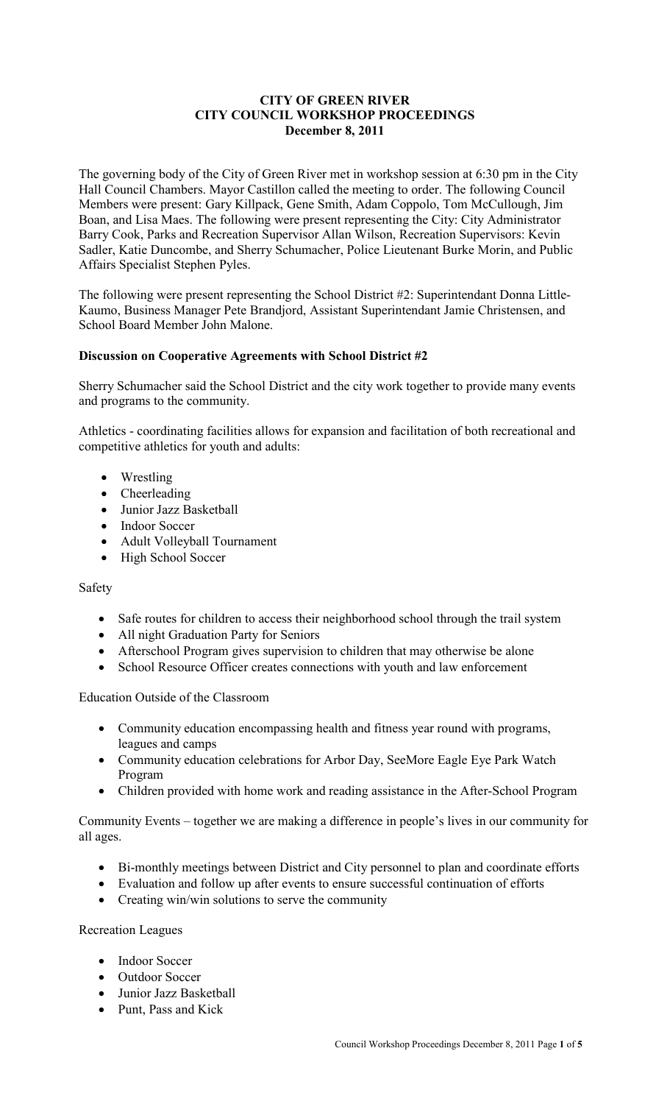### **CITY OF GREEN RIVER CITY COUNCIL WORKSHOP PROCEEDINGS December 8, 2011**

The governing body of the City of Green River met in workshop session at 6:30 pm in the City Hall Council Chambers. Mayor Castillon called the meeting to order. The following Council Members were present: Gary Killpack, Gene Smith, Adam Coppolo, Tom McCullough, Jim Boan, and Lisa Maes. The following were present representing the City: City Administrator Barry Cook, Parks and Recreation Supervisor Allan Wilson, Recreation Supervisors: Kevin Sadler, Katie Duncombe, and Sherry Schumacher, Police Lieutenant Burke Morin, and Public Affairs Specialist Stephen Pyles.

The following were present representing the School District #2: Superintendant Donna Little-Kaumo, Business Manager Pete Brandjord, Assistant Superintendant Jamie Christensen, and School Board Member John Malone.

### **Discussion on Cooperative Agreements with School District #2**

Sherry Schumacher said the School District and the city work together to provide many events and programs to the community.

Athletics - coordinating facilities allows for expansion and facilitation of both recreational and competitive athletics for youth and adults:

- Wrestling
- Cheerleading
- Junior Jazz Basketball
- Indoor Soccer
- Adult Volleyball Tournament
- High School Soccer

### Safety

- Safe routes for children to access their neighborhood school through the trail system
- All night Graduation Party for Seniors
- Afterschool Program gives supervision to children that may otherwise be alone
- School Resource Officer creates connections with youth and law enforcement

Education Outside of the Classroom

- Community education encompassing health and fitness year round with programs, leagues and camps
- Community education celebrations for Arbor Day, SeeMore Eagle Eye Park Watch Program
- Children provided with home work and reading assistance in the After-School Program

Community Events – together we are making a difference in people's lives in our community for all ages.

- Bi-monthly meetings between District and City personnel to plan and coordinate efforts
- Evaluation and follow up after events to ensure successful continuation of efforts
- Creating win/win solutions to serve the community

Recreation Leagues

- Indoor Soccer
- Outdoor Soccer
- Junior Jazz Basketball
- Punt, Pass and Kick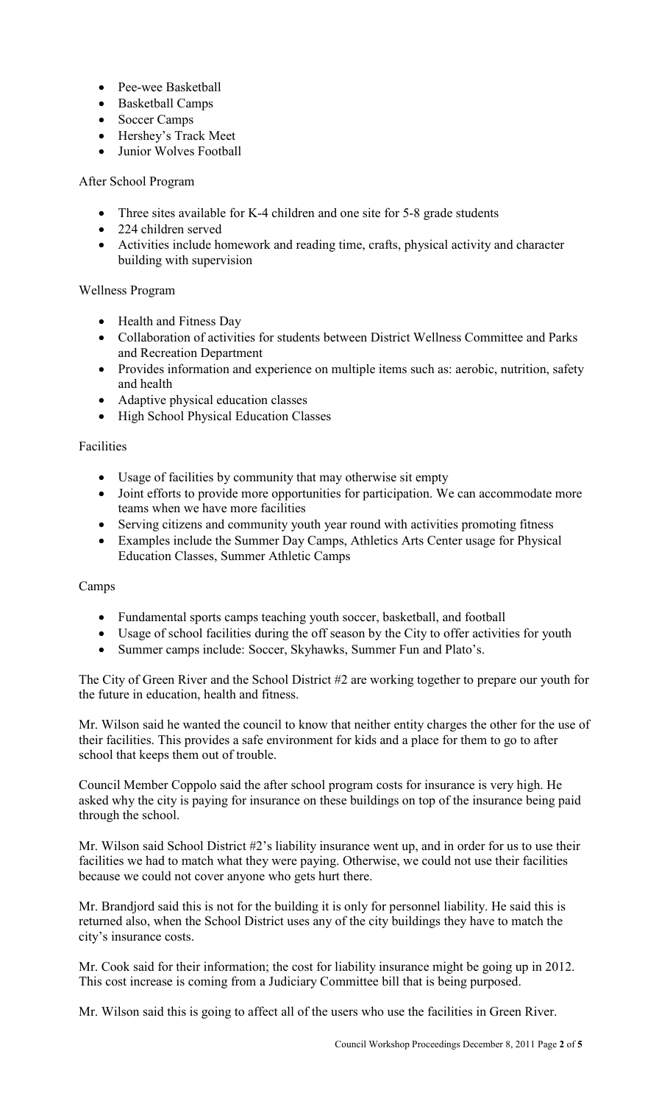- Pee-wee Basketball
- Basketball Camps
- Soccer Camps
- Hershey's Track Meet
- Junior Wolves Football

# After School Program

- Three sites available for K-4 children and one site for 5-8 grade students
- 224 children served
- Activities include homework and reading time, crafts, physical activity and character building with supervision

## Wellness Program

- Health and Fitness Day
- Collaboration of activities for students between District Wellness Committee and Parks and Recreation Department
- Provides information and experience on multiple items such as: aerobic, nutrition, safety and health
- Adaptive physical education classes
- High School Physical Education Classes

### Facilities

- Usage of facilities by community that may otherwise sit empty
- Joint efforts to provide more opportunities for participation. We can accommodate more teams when we have more facilities
- Serving citizens and community youth year round with activities promoting fitness
- Examples include the Summer Day Camps, Athletics Arts Center usage for Physical Education Classes, Summer Athletic Camps

### Camps

- Fundamental sports camps teaching youth soccer, basketball, and football
- Usage of school facilities during the off season by the City to offer activities for youth
- Summer camps include: Soccer, Skyhawks, Summer Fun and Plato's.

The City of Green River and the School District #2 are working together to prepare our youth for the future in education, health and fitness.

Mr. Wilson said he wanted the council to know that neither entity charges the other for the use of their facilities. This provides a safe environment for kids and a place for them to go to after school that keeps them out of trouble.

Council Member Coppolo said the after school program costs for insurance is very high. He asked why the city is paying for insurance on these buildings on top of the insurance being paid through the school.

Mr. Wilson said School District #2's liability insurance went up, and in order for us to use their facilities we had to match what they were paying. Otherwise, we could not use their facilities because we could not cover anyone who gets hurt there.

Mr. Brandjord said this is not for the building it is only for personnel liability. He said this is returned also, when the School District uses any of the city buildings they have to match the city's insurance costs.

Mr. Cook said for their information; the cost for liability insurance might be going up in 2012. This cost increase is coming from a Judiciary Committee bill that is being purposed.

Mr. Wilson said this is going to affect all of the users who use the facilities in Green River.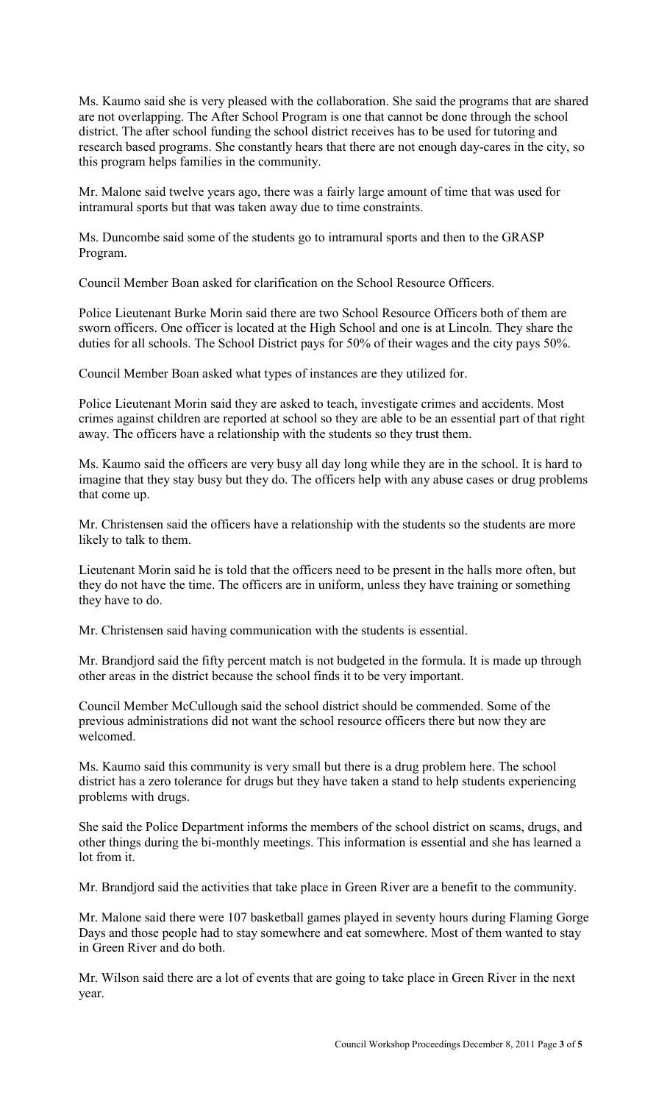Ms. Kaumo said she is very pleased with the collaboration. She said the programs that are shared are not overlapping. The After School Program is one that cannot be done through the school district. The after school funding the school district receives has to be used for tutoring and research based programs. She constantly hears that there are not enough day-cares in the city, so this program helps families in the community.

Mr. Malone said twelve years ago, there was a fairly large amount of time that was used for intramural sports but that was taken away due to time constraints.

Ms. Duncombe said some of the students go to intramural sports and then to the GRASP Program.

Council Member Boan asked for clarification on the School Resource Officers.

Police Lieutenant Burke Morin said there are two School Resource Officers both of them are sworn officers. One officer is located at the High School and one is at Lincoln. They share the duties for all schools. The School District pays for 50% of their wages and the city pays 50%.

Council Member Boan asked what types of instances are they utilized for.

Police Lieutenant Morin said they are asked to teach, investigate crimes and accidents. Most crimes against children are reported at school so they are able to be an essential part of that right away. The officers have a relationship with the students so they trust them.

Ms. Kaumo said the officers are very busy all day long while they are in the school. It is hard to imagine that they stay busy but they do. The officers help with any abuse cases or drug problems that come up.

Mr. Christensen said the officers have a relationship with the students so the students are more likely to talk to them.

Lieutenant Morin said he is told that the officers need to be present in the halls more often, but they do not have the time. The officers are in uniform, unless they have training or something they have to do.

Mr. Christensen said having communication with the students is essential.

Mr. Brandjord said the fifty percent match is not budgeted in the formula. It is made up through other areas in the district because the school finds it to be very important.

Council Member McCullough said the school district should be commended. Some of the previous administrations did not want the school resource officers there but now they are welcomed.

Ms. Kaumo said this community is very small but there is a drug problem here. The school district has a zero tolerance for drugs but they have taken a stand to help students experiencing problems with drugs.

She said the Police Department informs the members of the school district on scams, drugs, and other things during the bi-monthly meetings. This information is essential and she has learned a lot from it.

Mr. Brandjord said the activities that take place in Green River are a benefit to the community.

Mr. Malone said there were 107 basketball games played in seventy hours during Flaming Gorge Days and those people had to stay somewhere and eat somewhere. Most of them wanted to stay in Green River and do both.

Mr. Wilson said there are a lot of events that are going to take place in Green River in the next year.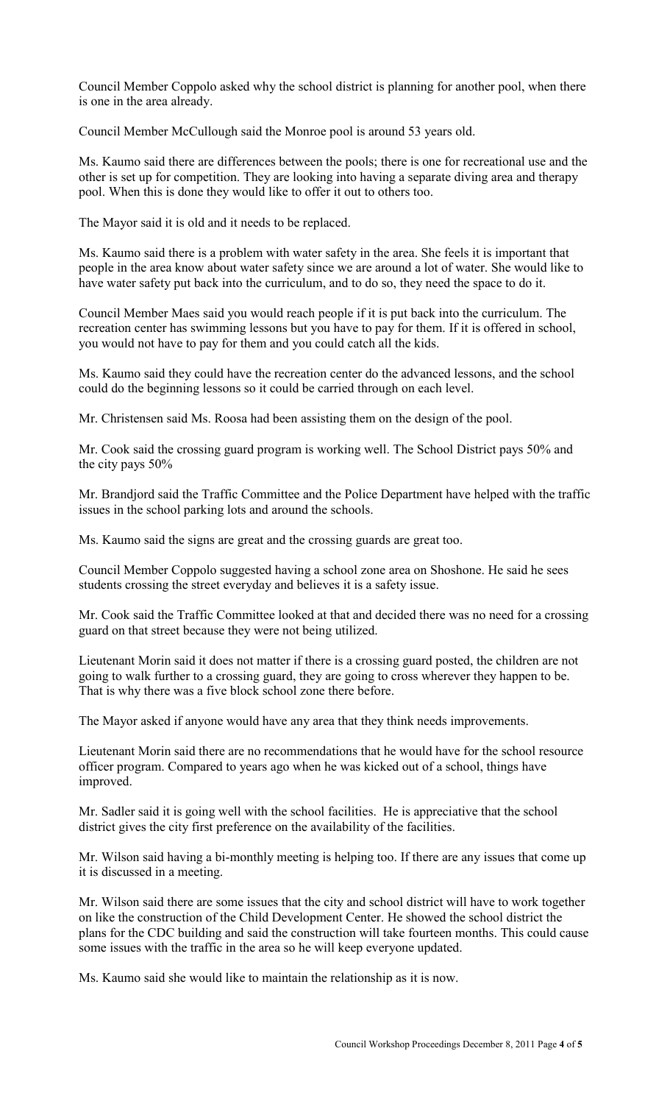Council Member Coppolo asked why the school district is planning for another pool, when there is one in the area already.

Council Member McCullough said the Monroe pool is around 53 years old.

Ms. Kaumo said there are differences between the pools; there is one for recreational use and the other is set up for competition. They are looking into having a separate diving area and therapy pool. When this is done they would like to offer it out to others too.

The Mayor said it is old and it needs to be replaced.

Ms. Kaumo said there is a problem with water safety in the area. She feels it is important that people in the area know about water safety since we are around a lot of water. She would like to have water safety put back into the curriculum, and to do so, they need the space to do it.

Council Member Maes said you would reach people if it is put back into the curriculum. The recreation center has swimming lessons but you have to pay for them. If it is offered in school, you would not have to pay for them and you could catch all the kids.

Ms. Kaumo said they could have the recreation center do the advanced lessons, and the school could do the beginning lessons so it could be carried through on each level.

Mr. Christensen said Ms. Roosa had been assisting them on the design of the pool.

Mr. Cook said the crossing guard program is working well. The School District pays 50% and the city pays 50%

Mr. Brandjord said the Traffic Committee and the Police Department have helped with the traffic issues in the school parking lots and around the schools.

Ms. Kaumo said the signs are great and the crossing guards are great too.

Council Member Coppolo suggested having a school zone area on Shoshone. He said he sees students crossing the street everyday and believes it is a safety issue.

Mr. Cook said the Traffic Committee looked at that and decided there was no need for a crossing guard on that street because they were not being utilized.

Lieutenant Morin said it does not matter if there is a crossing guard posted, the children are not going to walk further to a crossing guard, they are going to cross wherever they happen to be. That is why there was a five block school zone there before.

The Mayor asked if anyone would have any area that they think needs improvements.

Lieutenant Morin said there are no recommendations that he would have for the school resource officer program. Compared to years ago when he was kicked out of a school, things have improved.

Mr. Sadler said it is going well with the school facilities. He is appreciative that the school district gives the city first preference on the availability of the facilities.

Mr. Wilson said having a bi-monthly meeting is helping too. If there are any issues that come up it is discussed in a meeting.

Mr. Wilson said there are some issues that the city and school district will have to work together on like the construction of the Child Development Center. He showed the school district the plans for the CDC building and said the construction will take fourteen months. This could cause some issues with the traffic in the area so he will keep everyone updated.

Ms. Kaumo said she would like to maintain the relationship as it is now.